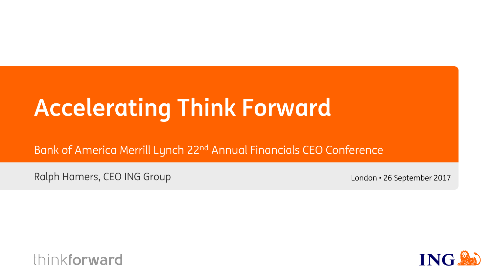# **Accelerating Think Forward**

Bank of America Merrill Lynch 22nd Annual Financials CEO Conference

Ralph Hamers, CEO ING Group

London • 26 September 2017



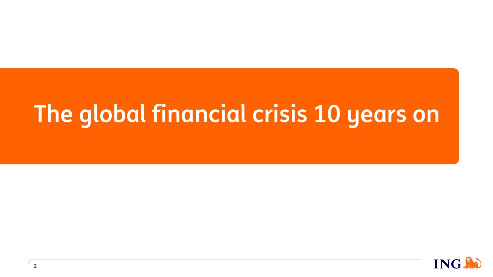# **The global financial crisis 10 years on**

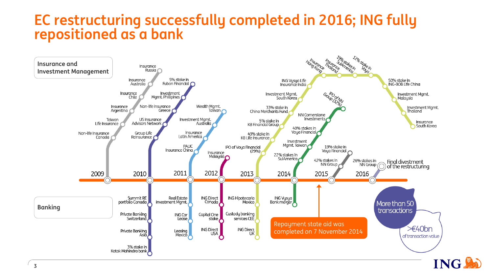## **EC restructuring successfully completed in 2016; ING fully repositioned as a bank**

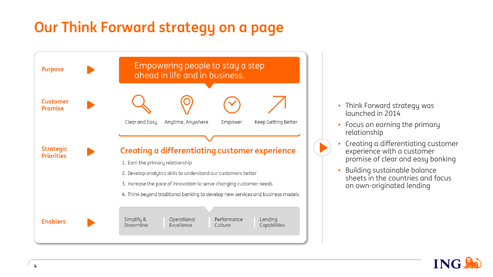## **Our Think Forward strategy on a page**



**4**

- Think Forward strategy was launched in 2014
- Focus on earning the primary relationship
- Creating a differentiating customer experience with a customer promise of clear and easy banking
- Building sustainable balance sheets in the countries and focus on own-originated lending

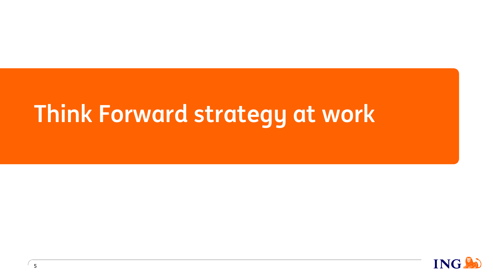# **Think Forward strategy at work**

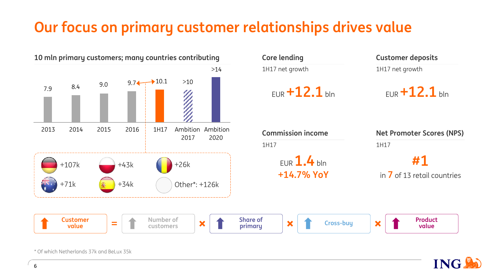## **Our focus on primary customer relationships drives value**



**ING.** 

\* Of which Netherlands 37k and BeLux 35k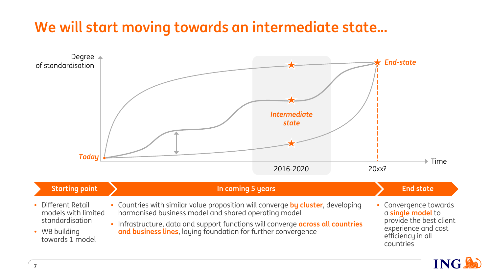## **We will start moving towards an intermediate state…**

![](_page_6_Figure_1.jpeg)

| <b>Starting point</b>                                                                            | In coming 5 years                                                                                                                                                                                                                                                                           | <b>End state</b>                                                                                                               |  |
|--------------------------------------------------------------------------------------------------|---------------------------------------------------------------------------------------------------------------------------------------------------------------------------------------------------------------------------------------------------------------------------------------------|--------------------------------------------------------------------------------------------------------------------------------|--|
| • Different Retail<br>models with limited<br>standardisation<br>• WB building<br>towards 1 model | • Countries with similar value proposition will converge by cluster, developing<br>harmonised business model and shared operating model<br>. Infrastructure, data and support functions will converge across all countries<br>and business lines, laying foundation for further convergence | • Convergence towards<br>a single model to<br>provide the best client<br>experience and cost<br>efficiency in all<br>countries |  |

![](_page_6_Picture_3.jpeg)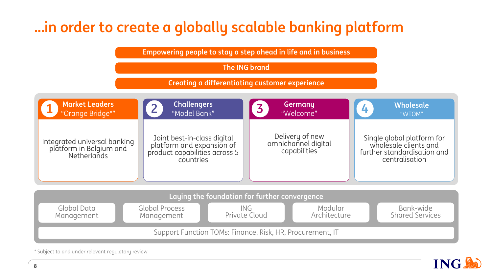## **…in order to create a globally scalable banking platform**

**Empowering people to stay a step ahead in life and in business**

**The ING brand**

**Creating a differentiating customer experience**

![](_page_7_Figure_4.jpeg)

Support Function TOMs: Finance, Risk, HR, Procurement, IT

**ING!** 

\* Subject to and under relevant regulatory review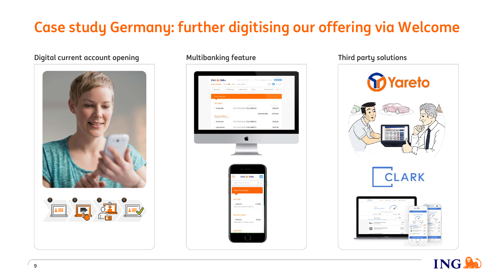## **Case study Germany: further digitising our offering via Welcome**

## **Digital current account opening and Multibanking feature Third party solutions**

![](_page_8_Picture_2.jpeg)

![](_page_8_Picture_4.jpeg)

# **M**Yareto **ARK**

![](_page_8_Picture_6.jpeg)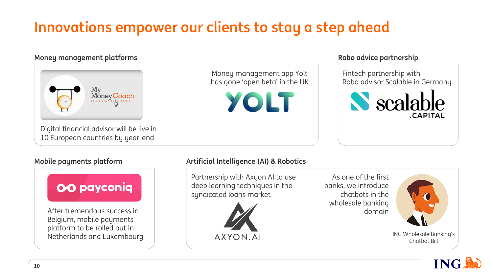## **Innovations empower our clients to stay a step ahead**

## **Money management platforms Robo advice partnership**

![](_page_9_Picture_2.jpeg)

10 European countries by year-end

Money management app Yolt has gone 'open beta' in the UK

YOLT

Fintech partnership with Robo advisor Scalable in Germany

![](_page_9_Picture_8.jpeg)

![](_page_9_Picture_10.jpeg)

## **Mobile payments platform Artificial Intelligence (AI) & Robotics**

Partnership with Axyon AI to use deep learning techniques in the syndicated loans market

![](_page_9_Picture_13.jpeg)

As one of the first banks, we introduce chatbots in the wholesale banking domain

![](_page_9_Picture_15.jpeg)

ING Wholesale Banking's Chatbot Bill

![](_page_9_Picture_17.jpeg)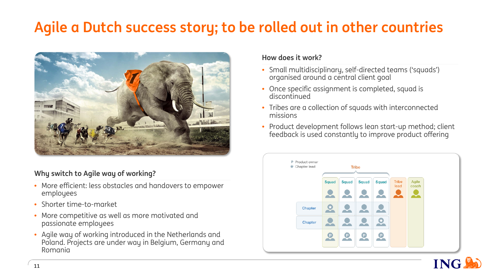## **Agile a Dutch success story; to be rolled out in other countries**

![](_page_10_Picture_1.jpeg)

## **Why switch to Agile way of working?**

- More efficient: less obstacles and handovers to empower employees
- Shorter time-to-market
- More competitive as well as more motivated and passionate employees
- Agile way of working introduced in the Netherlands and Poland. Projects are under way in Belgium, Germany and Romania

### **How does it work?**

- Small multidisciplinary, self-directed teams ('squads') organised around a central client goal
- Once specific assignment is completed, squad is discontinued
- Tribes are a collection of squads with interconnected missions
- Product development follows lean start-up method; client feedback is used constantly to improve product offering

![](_page_10_Figure_12.jpeg)

![](_page_10_Picture_13.jpeg)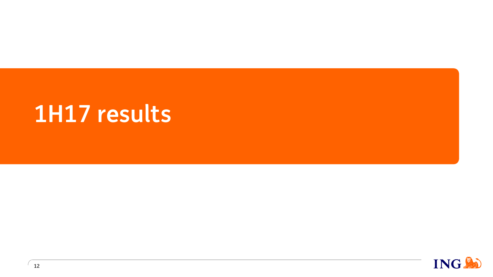# **1H17 results**

![](_page_11_Picture_1.jpeg)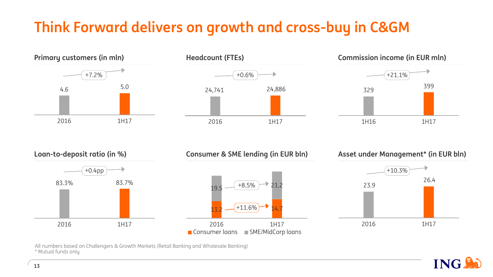## **Think Forward delivers on growth and cross-buy in C&GM**

![](_page_12_Figure_1.jpeg)

![](_page_12_Figure_2.jpeg)

![](_page_12_Figure_3.jpeg)

![](_page_12_Figure_4.jpeg)

All numbers based on Challengers & Growth Markets (Retail Banking and Wholesale Banking) \* Mutual funds only

![](_page_12_Picture_6.jpeg)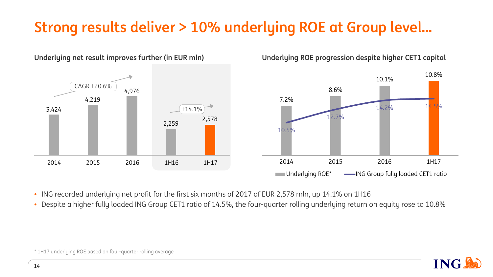## **Strong results deliver > 10% underlying ROE at Group level…**

![](_page_13_Figure_1.jpeg)

**Underlying ROE progression despite higher CET1 capital**

![](_page_13_Figure_3.jpeg)

- ING recorded underlying net profit for the first six months of 2017 of EUR 2,578 mln, up 14.1% on 1H16
- Despite a higher fully loaded ING Group CET1 ratio of 14.5%, the four-quarter rolling underlying return on equity rose to 10.8%

![](_page_13_Picture_6.jpeg)

\* 1H17 underlying ROE based on four-quarter rolling average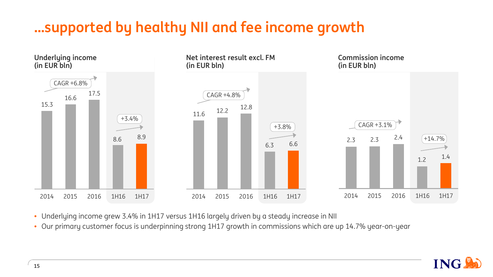## **…supported by healthy NII and fee income growth**

![](_page_14_Figure_1.jpeg)

- Underlying income grew 3.4% in 1H17 versus 1H16 largely driven by a steady increase in NII
- Our primary customer focus is underpinning strong 1H17 growth in commissions which are up 14.7% year-on-year

![](_page_14_Picture_4.jpeg)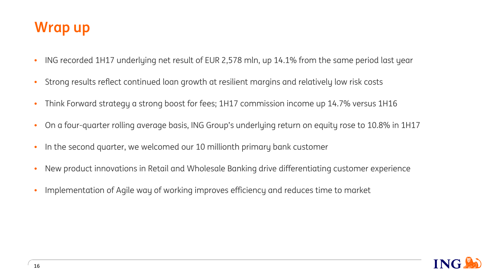## **Wrap up**

- ING recorded 1H17 underlying net result of EUR 2,578 mln, up 14.1% from the same period last year
- Strong results reflect continued loan growth at resilient margins and relatively low risk costs
- Think Forward strategy a strong boost for fees; 1H17 commission income up 14.7% versus 1H16
- On a four-quarter rolling average basis, ING Group's underlying return on equity rose to 10.8% in 1H17
- In the second quarter, we welcomed our 10 millionth primary bank customer
- New product innovations in Retail and Wholesale Banking drive differentiating customer experience
- Implementation of Agile way of working improves efficiency and reduces time to market

![](_page_15_Picture_8.jpeg)